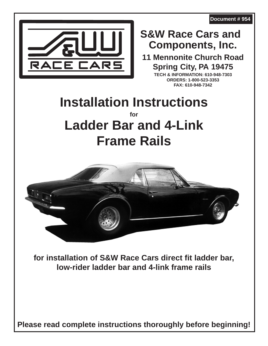**Document # 954**



## **Components, Inc. S&W Race Cars and**

**11 Mennonite Church Road Spring City, PA 19475**

**TECH & INFORMATION: 610-948-7303 ORDERS: 1-800-523-3353 FAX: 610-948-7342**

# **Installation Instructions for Ladder Bar and 4-Link Frame Rails**



**for installation of S&W Race Cars direct fit ladder bar, low-rider ladder bar and 4-link frame rails**

**Please read complete instructions thoroughly before beginning!**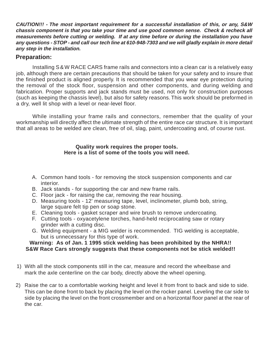**CAUTION!!! - The most important requirement for a successful installation of this, or any, S&W chassis component is that you take your time and use good common sense. Check & recheck all measurements before cutting or welding. If at any time before or during the installation you have any questions - STOP - and call our tech line at 610-948-7303 and we will gladly explain in more detail any step in the installation.**

#### **Preparation:**

Installing S&W RACE CARS frame rails and connectors into a clean car is a relatively easy job, although there are certain precautions that should be taken for your safety and to insure that the finished product is aligned properly. It is recommended that you wear eye protection during the removal of the stock floor, suspension and other components, and during welding and fabrication. Proper supports and jack stands must be used, not only for construction purposes (such as keeping the chassis level), but also for safety reasons. This work should be preformed in a dry, well lit shop with a level or near-level floor.

While installing your frame rails and connectors, remember that the quality of your workmanship will directly affect the ultimate strength of the entire race car structure. It is important that all areas to be welded are clean, free of oil, slag, paint, undercoating and, of course rust.

#### **Quality work requires the proper tools. Here is a list of some of the tools you will need.**

- A. Common hand tools for removing the stock suspension components and car interior.
- B. Jack stands for supporting the car and new frame rails.
- C. Floor jack for raising the car, removing the rear housing.
- D. Measuring tools 12' measuring tape, level, inclinometer, plumb bob, string, large square felt tip pen or soap stone.
- E. Cleaning tools gasket scraper and wire brush to remove undercoating.
- F. Cutting tools oxyacetylene torches, hand-held reciprocating saw or rotary grinder with a cutting disc.
- G. Welding equipment a MIG welder is recommended. TIG welding is acceptable, but is unnecessary for this type of work.

#### **Warning: As of Jan. 1 1995 stick welding has been prohibited by the NHRA!! S&W Race Cars strongly suggests that these components not be stick welded!!**

- 1) With all the stock components still in the car, measure and record the wheelbase and mark the axle centerline on the car body, directly above the wheel opening.
- 2) Raise the car to a comfortable working height and level it from front to back and side to side. This can be done front to back by placing the level on the rocker panel. Leveling the car side to side by placing the level on the front crossmember and on a horizontal floor panel at the rear of the car.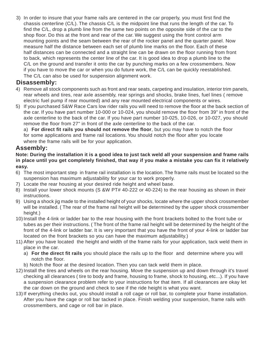3) In order to insure that your frame rails are centered in the car properly, you must first find the chassis centerline (C/L). The chassis C/L is the midpoint line that runs the length of the car. To find the C/L, drop a plumb line from the same two points on the opposite side of the car to the shop floor. Do this at the front and rear of the car. We suggest using the front control arm mounting points and the seam between the rear of the rocker panel and the quarter panel. Now measure half the distance between each set of plumb line marks on the floor. Each of these half distances can be connected and a straight line can be drawn on the floor running from front to back, which represents the center line of the car. It is good idea to drop a plumb line to the C/L on the ground and transfer it onto the car by punching marks on a few crossmembers. Now if you have to move the car or when you do future work, the C/L can be quickly reestablished. The C/L can also be used for suspension alignment work.

#### **Disassembly:**

- 4) Remove all stock components such as front and rear seats, carpeting and insulation, interior trim panels, rear wheels and tires, rear axle assembly, rear springs and shocks, brake lines, fuel lines ( remove electric fuel pump if rear mounted) and any rear mounted electrical components or wires.
- 5) If you purchased S&W Race Cars low rider rails you will need to remove the floor at the back section of the car. If you have part number 10-000 or 10-024, you should remove the floor from 39" in front of the axle centerline to the back of the car. If you have part number 10-025, 10-026, or 10-027, you should remove the floor from 27" in front of the axle centerline to the back of the car.

a) **For direct fit rails you should not remove the floor**, but you may have to notch the floor for some applications and frame rail locations. You should notch the floor after you locate where the frame rails will be for your application.

#### **Assembly:**

**Note: During the installation it is a good idea to just tack weld all your suspension and frame rails in place until you get completely finished, that way if you make a mistake you can fix it relatively easy.**

- 6) The most important step in frame rail installation is the location. The frame rails must be located so the suspension has maximum adjustability for your car to work properly.
- 7) Locate the rear housing at your desired ride height and wheel base.
- 8) Install your lower shock mounts (S &W PT# 40-222 or 40-224) to the rear housing as shown in their instructions.
- 9) Using a shock jig made to the installed height of your shocks, locate where the upper shock crossmember will be installed. ( The rear of the frame rail height will be determined by the upper shock crossmember height.)
- 10) Install the 4-link or ladder bar to the rear housing with the front brackets bolted to the front tube or tubes as per their instructions. ( The front of the frame rail height will be determined by the height of the front of the 4-link or ladder bar. It is very important that you have the front of your 4-link or ladder bar located on the front brackets so you can have the maximum adjustability.)
- 11) After you have located the height and width of the frame rails for your application, tack weld them in place in the car.
	- a) **For the direct fit rails** you should place the rails up to the floor and determine where you will notch the floor.
	- b) Notch the floor at the desired location. Then you can tack weld them in place.
- 12)Install the tires and wheels on the rear housing. Move the suspension up and down through it's travel checking all clearances ( tire to body and frame, housing to frame, shock to housing, etc...). If you have a suspension clearance problem refer to your instructions for that item. If all clearances are okay let the car down on the ground and check to see if the ride height is what you want.
- 13) If everything checks out, you should install a roll cage or roll bar, to complete your frame installation. After you have the cage or roll bar tacked in place. Finish welding your suspension, frame rails with crossmembers, and cage or roll bar in place.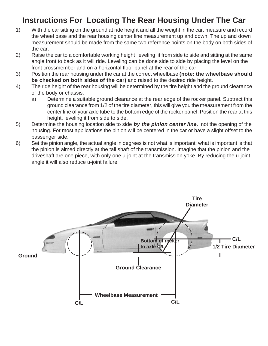### **Instructions For Locating The Rear Housing Under The Car**

- 1) With the car sitting on the ground at ride height and all the weight in the car, measure and record the wheel base and the rear housing center line measurement up and down. The up and down measurement should be made from the same two reference points on the body on both sides of the car.
- 2) Raise the car to a comfortable working height leveling it from side to side and sitting at the same angle front to back as it will ride. Leveling can be done side to side by placing the level on the front crossmember and on a horizontal floor panel at the rear of the car.
- 3) Position the rear housing under the car at the correct wheelbase **(note: the wheelbase should be checked on both sides of the car)** and raised to the desired ride height.
- 4) The ride height of the rear housing will be determined by the tire height and the ground clearance of the body or chassis.
	- a) Determine a suitable ground clearance at the rear edge of the rocker panel. Subtract this ground clearance from 1/2 of the tire diameter, this will give you the measurement from the center line of your axle tube to the bottom edge of the rocker panel. Position the rear at this height, leveling it from side to side.
- 5) Determine the housing location side to side **by the pinion center line,** not the opening of the housing. For most applications the pinion will be centered in the car or have a slight offset to the passenger side.
- 6) Set the pinion angle, the actual angle in degrees is not what is important; what is important is that the pinion is aimed directly at the tail shaft of the transmission. Imagine that the pinion and the driveshaft are one piece, with only one u-joint at the transmission yoke. By reducing the u-joint angle it will also reduce u-joint failure.